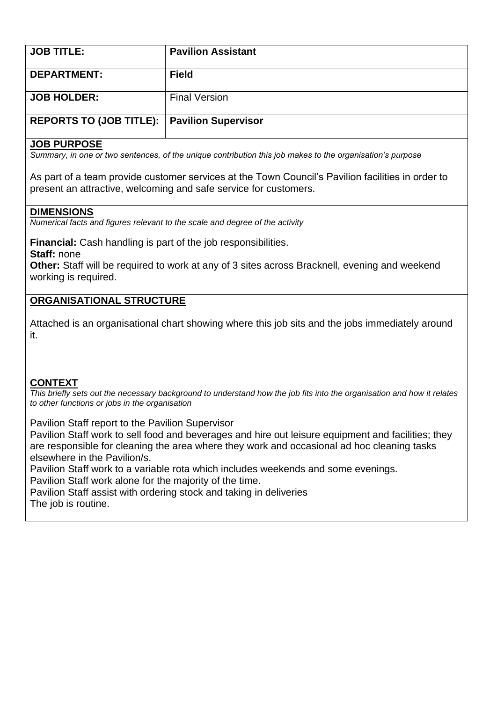| <b>JOB TITLE:</b>                             | <b>Pavilion Assistant</b> |
|-----------------------------------------------|---------------------------|
| <b>DEPARTMENT:</b>                            | <b>Field</b>              |
| <b>JOB HOLDER:</b>                            | <b>Final Version</b>      |
| REPORTS TO (JOB TITLE):   Pavilion Supervisor |                           |

#### **JOB PURPOSE**

*Summary, in one or two sentences, of the unique contribution this job makes to the organisation's purpose*

As part of a team provide customer services at the Town Council's Pavilion facilities in order to present an attractive, welcoming and safe service for customers.

#### **DIMENSIONS**

*Numerical facts and figures relevant to the scale and degree of the activity* 

**Financial:** Cash handling is part of the job responsibilities.

**Staff:** none

**Other:** Staff will be required to work at any of 3 sites across Bracknell, evening and weekend working is required.

## **ORGANISATIONAL STRUCTURE**

Attached is an organisational chart showing where this job sits and the jobs immediately around it.

## **CONTEXT**

*This briefly sets out the necessary background to understand how the job fits into the organisation and how it relates to other functions or jobs in the organisation*

Pavilion Staff report to the Pavilion Supervisor

Pavilion Staff work to sell food and beverages and hire out leisure equipment and facilities; they are responsible for cleaning the area where they work and occasional ad hoc cleaning tasks elsewhere in the Pavilion/s.

Pavilion Staff work to a variable rota which includes weekends and some evenings.

Pavilion Staff work alone for the majority of the time.

Pavilion Staff assist with ordering stock and taking in deliveries

The job is routine.